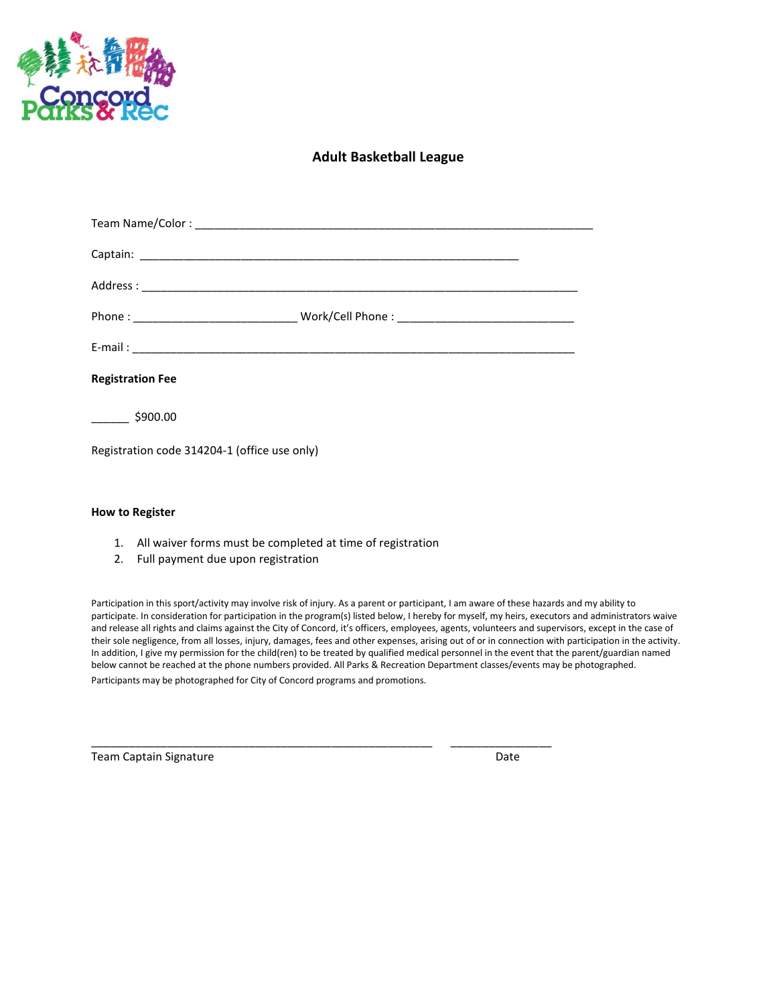

## **Adult Basketball League**

| <b>Registration Fee</b>                      |  |
|----------------------------------------------|--|
| $\frac{1}{2}$ \$900.00                       |  |
| Registration code 314204-1 (office use only) |  |

## **How to Register**

- 1. All waiver forms must be completed at time of registration
- 2. Full payment due upon registration

Participation in this sport/activity may involve risk of injury. As a parent or participant, I am aware of these hazards and my ability to participate. In consideration for participation in the program(s) listed below, I hereby for myself, my heirs, executors and administrators waive and release all rights and claims against the City of Concord, it's officers, employees, agents, volunteers and supervisors, except in the case of their sole negligence, from all losses, injury, damages, fees and other expenses, arising out of or in connection with participation in the activity. In addition, I give my permission for the child(ren) to be treated by qualified medical personnel in the event that the parent/guardian named below cannot be reached at the phone numbers provided. All Parks & Recreation Department classes/events may be photographed. Participants may be photographed for City of Concord programs and promotions.

 $\_$  , and the set of the set of the set of the set of the set of the set of the set of the set of the set of the set of the set of the set of the set of the set of the set of the set of the set of the set of the set of th

Team Captain Signature **Date** Date **Date** Date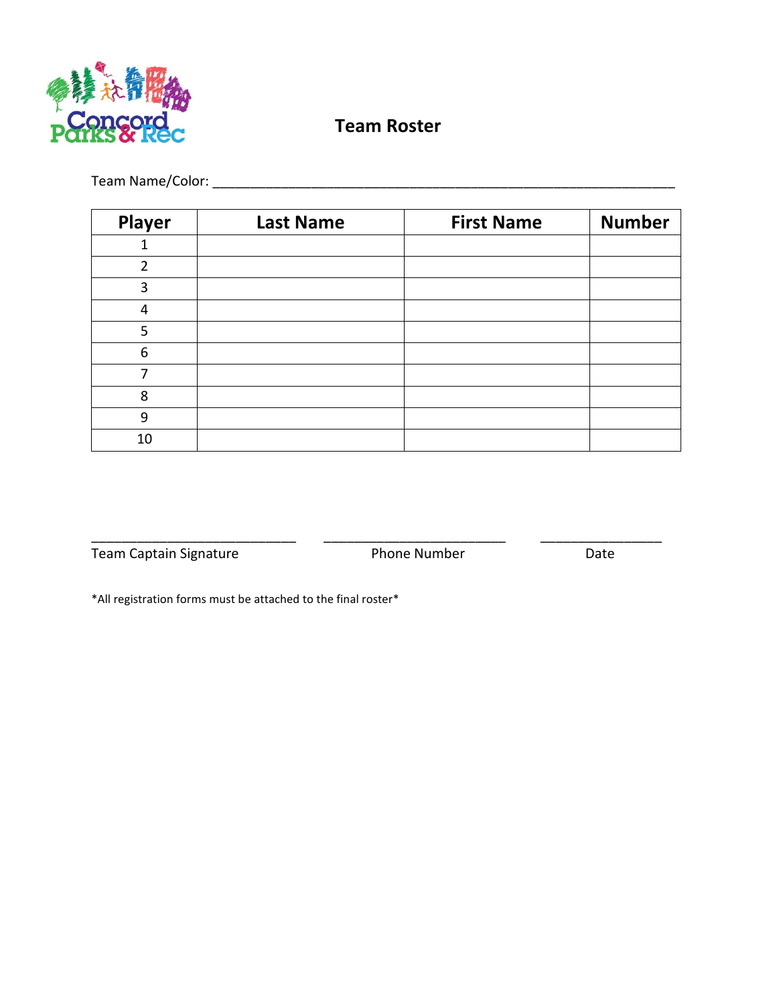

## **Team Roster**

Team Name/Color: \_\_\_\_\_\_\_\_\_\_\_\_\_\_\_\_\_\_\_\_\_\_\_\_\_\_\_\_\_\_\_\_\_\_\_\_\_\_\_\_\_\_\_\_\_\_\_\_\_\_\_\_\_\_\_\_\_\_\_\_\_

| Player         | <b>Last Name</b> | <b>First Name</b> | <b>Number</b> |
|----------------|------------------|-------------------|---------------|
|                |                  |                   |               |
| $\overline{2}$ |                  |                   |               |
| 3              |                  |                   |               |
| 4              |                  |                   |               |
| 5              |                  |                   |               |
| 6              |                  |                   |               |
|                |                  |                   |               |
| 8              |                  |                   |               |
| 9              |                  |                   |               |
| 10             |                  |                   |               |

Team Captain Signature **Phone Number** Date

\_\_\_\_\_\_\_\_\_\_\_\_\_\_\_\_\_\_\_\_\_\_\_\_\_\_\_ \_\_\_\_\_\_\_\_\_\_\_\_\_\_\_\_\_\_\_\_\_\_\_\_ \_\_\_\_\_\_\_\_\_\_\_\_\_\_\_\_

\*All registration forms must be attached to the final roster\*